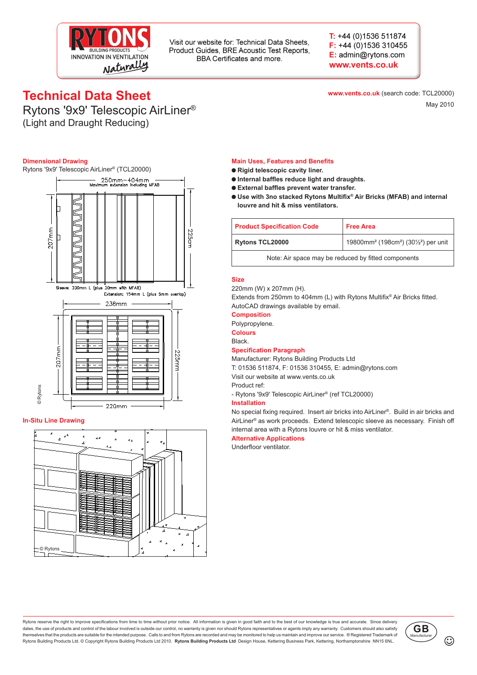

Visit our website for: Technical Data Sheets, Product Guides, BRE Acoustic Test Reports. BBA Certificates and more.

 $T: +44(0)1536511874$  $F: +44(0)1536310455$ E: admin@rytons.com www.vents.co.uk

**www.vents.co.uk** (search code: TCL20000)

May 2010

# **Technical Data Sheet**

Rytons '9x9' Telescopic AirLiner® (Light and Draught Reducing)

#### **Dimensional Drawing**

Rytons '9x9' Telescopic AirLiner® (TCL20000)



#### **In-Situ Line Drawing**



#### **Main Uses, Features and Benefits**

- **Rigid telescopic cavity liner.**
- **Internal baffles reduce light and draughts.**
- **External baffles prevent water transfer.**
- **Use with 3no stacked Rytons Multifix® Air Bricks (MFAB) and internal louvre and hit & miss ventilators.**

| <b>Product Specification Code</b>                   | <b>Free Area</b>                                                                      |
|-----------------------------------------------------|---------------------------------------------------------------------------------------|
| <b>Rytons TCL20000</b>                              | 19800mm <sup>2</sup> (198cm <sup>2</sup> ) (301/ <sub>2</sub> <sup>2</sup> ) per unit |
| Note: Air space may be reduced by fitted components |                                                                                       |

#### **Size**

220mm (W) x 207mm (H).

Extends from 250mm to 404mm (L) with Rytons Multifix® Air Bricks fitted. AutoCAD drawings available by email.

#### **Composition**

Polypropylene.

**Colours**

Black.

#### **Specification Paragraph**

Manufacturer: Rytons Building Products Ltd

T: 01536 511874, F: 01536 310455, E: admin@rytons.com

Visit our website at www.vents.co.uk

Product ref:

- Rytons '9x9' Telescopic AirLiner® (ref TCL20000)

#### **Installation**

No special fixing required. Insert air bricks into AirLiner®. Build in air bricks and AirLiner® as work proceeds. Extend telescopic sleeve as necessary. Finish off internal area with a Rytons louvre or hit & miss ventilator.

#### **Alternative Applications**

Underfloor ventilator.

Rytons reserve the right to improve specifications from time to time without prior notice. All information is given in good faith and to the best of our knowledge is true and accurate. Since delivery dates, the use of products and control of the labour involved is outside our control, no warranty is given nor should Rytons representatives or agents imply any warranty. Customers should also satisfy themselves that the products are suitable for the intended purpose. Calls to and from Rytons are recorded and may be monitored to help us maintain and improve our service. ® Registered Trademark of Rytons Building Products Ltd. © Copyright Rytons Building Products Ltd 2010. **Rytons Building Products Ltd** Design House, Kettering Business Park, Kettering, Northamptonshire NN15 6NL.

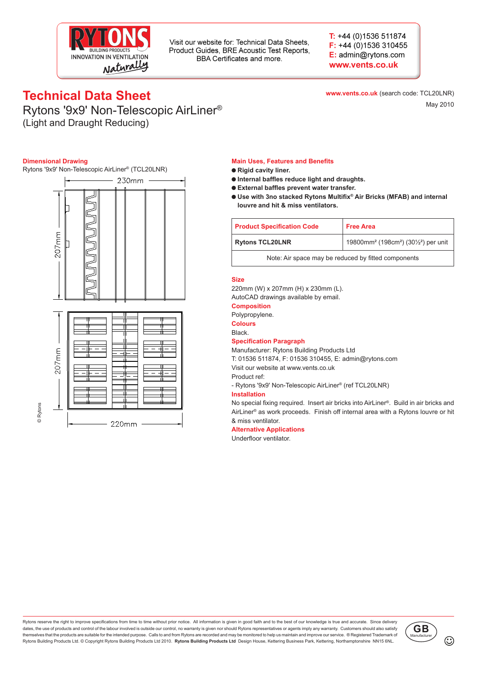

Visit our website for: Technical Data Sheets, Product Guides, BRE Acoustic Test Reports, BBA Certificates and more.

 $T: +44(0)1536511874$  $F: +44(0)1536310455$ E: admin@rytons.com www.vents.co.uk

## **Technical Data Sheet**

**www.vents.co.uk** (search code: TCL20LNR) May 2010

## Rytons '9x9' Non-Telescopic AirLiner® (Light and Draught Reducing)

#### **Dimensional Drawing**

Rytons '9x9' Non-Telescopic AirLiner® (TCL20LNR)



#### **Main Uses, Features and Benefits**

- **Rigid cavity liner.**
- **Internal baffles reduce light and draughts.**
- **External baffles prevent water transfer.**
- **Use with 3no stacked Rytons Multifix® Air Bricks (MFAB) and internal louvre and hit & miss ventilators.**

| <b>Product Specification Code</b>                   | <b>Free Area</b>                                                        |
|-----------------------------------------------------|-------------------------------------------------------------------------|
| <b>Rytons TCL20LNR</b>                              | 19800mm <sup>2</sup> (198cm <sup>2</sup> ) (30 $\frac{1}{2}$ ) per unit |
| Note: Air space may be reduced by fitted components |                                                                         |

#### **Size**

220mm (W) x 207mm (H) x 230mm (L). AutoCAD drawings available by email.

#### **Composition**

Polypropylene.

**Colours**

## Black.

### **Specification Paragraph**

Manufacturer: Rytons Building Products Ltd

T: 01536 511874, F: 01536 310455, E: admin@rytons.com

Visit our website at www.vents.co.uk

Product ref:

- Rytons '9x9' Non-Telescopic AirLiner® (ref TCL20LNR)

#### **Installation**

No special fixing required. Insert air bricks into AirLiner®. Build in air bricks and AirLiner® as work proceeds. Finish off internal area with a Rytons louvre or hit & miss ventilator.

#### **Alternative Applications**

Underfloor ventilator.

Rytons reserve the right to improve specifications from time to time without prior notice. All information is given in good faith and to the best of our knowledge is true and accurate. Since delivery dates, the use of products and control of the labour involved is outside our control, no warranty is given nor should Rytons representatives or agents imply any warranty. Customers should also satisfy themselves that the products are suitable for the intended purpose. Calls to and from Rytons are recorded and may be monitored to help us maintain and improve our service. ® Registered Trademark of Rytons Building Products Ltd. © Copyright Rytons Building Products Ltd 2010. **Rytons Building Products Ltd** Design House, Kettering Business Park, Kettering, Northamptonshire NN15 6NL.